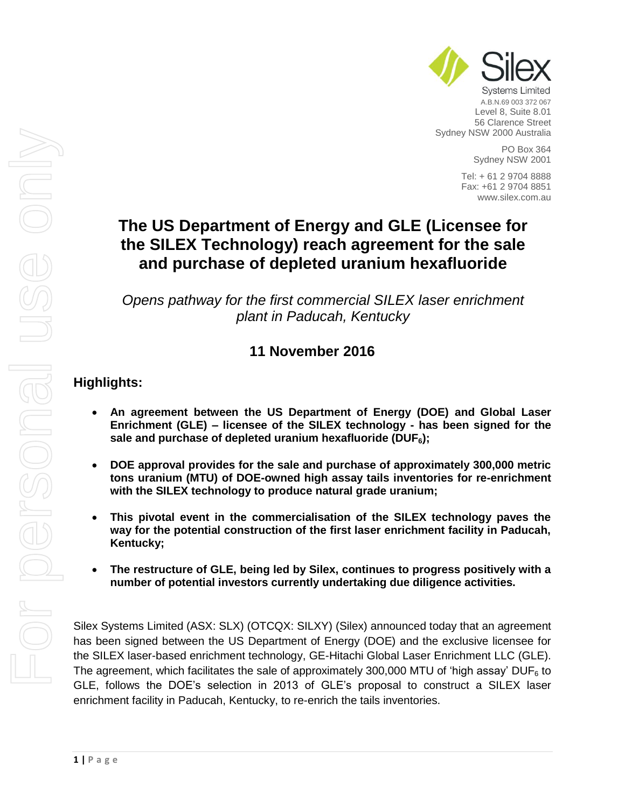

PO Box 364 Sydney NSW 2001

Tel: + 61 2 9704 8888 Fax: +61 2 9704 8851 www.silex.com.au

## **The US Department of Energy and GLE (Licensee for the SILEX Technology) reach agreement for the sale and purchase of depleted uranium hexafluoride**

*Opens pathway for the first commercial SILEX laser enrichment plant in Paducah, Kentucky*

## **11 November 2016**

## **Highlights:**

- **An agreement between the US Department of Energy (DOE) and Global Laser Enrichment (GLE) – licensee of the SILEX technology - has been signed for the sale and purchase of depleted uranium hexafluoride (DUF6);**
- **DOE approval provides for the sale and purchase of approximately 300,000 metric tons uranium (MTU) of DOE-owned high assay tails inventories for re-enrichment with the SILEX technology to produce natural grade uranium;**
- **This pivotal event in the commercialisation of the SILEX technology paves the way for the potential construction of the first laser enrichment facility in Paducah, Kentucky;**
- **The restructure of GLE, being led by Silex, continues to progress positively with a number of potential investors currently undertaking due diligence activities.**

Silex Systems Limited (ASX: SLX) (OTCQX: SILXY) (Silex) announced today that an agreement has been signed between the US Department of Energy (DOE) and the exclusive licensee for the SILEX laser-based enrichment technology, GE-Hitachi Global Laser Enrichment LLC (GLE). The agreement, which facilitates the sale of approximately 300,000 MTU of 'high assay' DUF<sub>6</sub> to GLE, follows the DOE's selection in 2013 of GLE's proposal to construct a SILEX laser enrichment facility in Paducah, Kentucky, to re-enrich the tails inventories.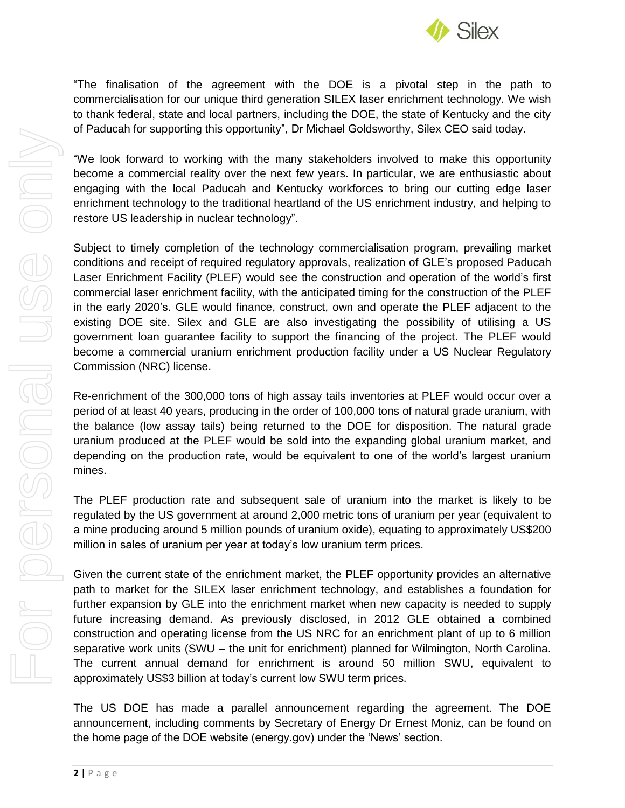

"The finalisation of the agreement with the DOE is a pivotal step in the path to commercialisation for our unique third generation SILEX laser enrichment technology. We wish to thank federal, state and local partners, including the DOE, the state of Kentucky and the city of Paducah for supporting this opportunity", Dr Michael Goldsworthy, Silex CEO said today.

"We look forward to working with the many stakeholders involved to make this opportunity become a commercial reality over the next few years. In particular, we are enthusiastic about engaging with the local Paducah and Kentucky workforces to bring our cutting edge laser enrichment technology to the traditional heartland of the US enrichment industry, and helping to restore US leadership in nuclear technology".

Subject to timely completion of the technology commercialisation program, prevailing market conditions and receipt of required regulatory approvals, realization of GLE's proposed Paducah Laser Enrichment Facility (PLEF) would see the construction and operation of the world's first commercial laser enrichment facility, with the anticipated timing for the construction of the PLEF in the early 2020's. GLE would finance, construct, own and operate the PLEF adjacent to the existing DOE site. Silex and GLE are also investigating the possibility of utilising a US government loan guarantee facility to support the financing of the project. The PLEF would become a commercial uranium enrichment production facility under a US Nuclear Regulatory Commission (NRC) license.

Re-enrichment of the 300,000 tons of high assay tails inventories at PLEF would occur over a period of at least 40 years, producing in the order of 100,000 tons of natural grade uranium, with the balance (low assay tails) being returned to the DOE for disposition. The natural grade uranium produced at the PLEF would be sold into the expanding global uranium market, and depending on the production rate, would be equivalent to one of the world's largest uranium mines.

The PLEF production rate and subsequent sale of uranium into the market is likely to be regulated by the US government at around 2,000 metric tons of uranium per year (equivalent to a mine producing around 5 million pounds of uranium oxide), equating to approximately US\$200 million in sales of uranium per year at today's low uranium term prices.

Given the current state of the enrichment market, the PLEF opportunity provides an alternative path to market for the SILEX laser enrichment technology, and establishes a foundation for further expansion by GLE into the enrichment market when new capacity is needed to supply future increasing demand. As previously disclosed, in 2012 GLE obtained a combined construction and operating license from the US NRC for an enrichment plant of up to 6 million separative work units (SWU – the unit for enrichment) planned for Wilmington, North Carolina. The current annual demand for enrichment is around 50 million SWU, equivalent to approximately US\$3 billion at today's current low SWU term prices.

The US DOE has made a parallel announcement regarding the agreement. The DOE announcement, including comments by Secretary of Energy Dr Ernest Moniz, can be found on the home page of the DOE website (energy.gov) under the 'News' section.